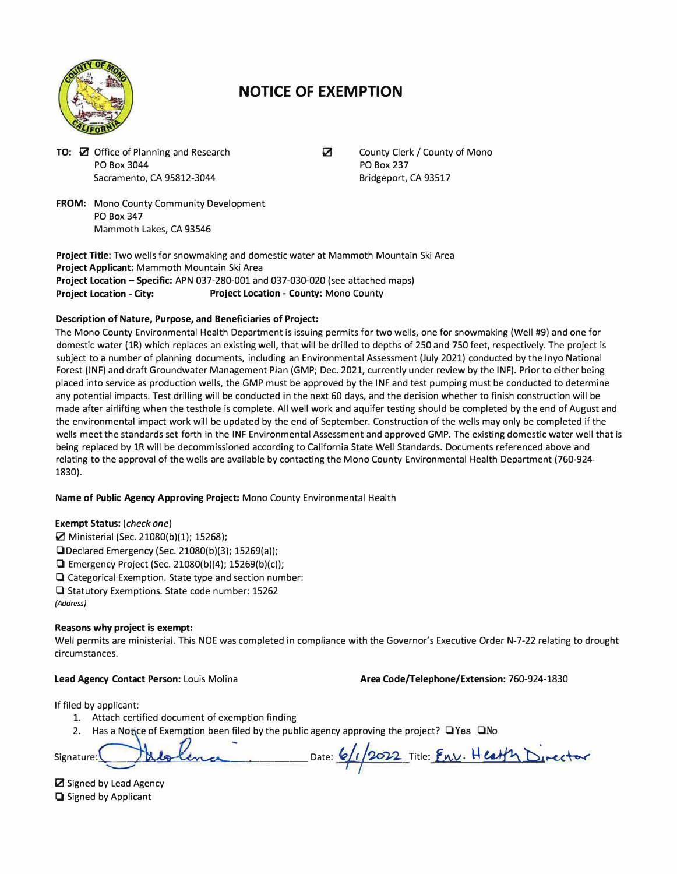

# **NOTICE OF EXEMPTION**

**TO:** 0 Office of Planning and Research PO Box 3044 Sacramento, CA 95812-3044

 $\triangledown$ 

County Clerk/ County of Mono PO Box 237 Bridgeport, CA 93517

**FROM:** Mono County Community Development PO Box 347 Mammoth Lakes, CA 93546

**Project Title:** Two wells for snowmaking and domestic water at Mammoth Mountain Ski Area **Project Applicant:** Mammoth Mountain Ski Area **Project Location - Specific:** APN 037-280-001 and 037-030-020 (see attached maps) **Project Location - City: Project Location - County:** Mono County

## **Description of Nature, Purpose, and Beneficiaries of Project:**

The Mono County Environmental Health Department is issuing permits for two wells, one for snowmaking (Well #9) and one for domestic water (lR) which replaces an existing well, that will be drilled to depths of 250 and 750 feet, respectively. The project is subject to a number of planning documents, including an Environmental Assessment (July 2021) conducted by the Inyo National Forest (INF) and draft Groundwater Management Plan (GMP; Dec. 2021, currently under review by the INF). Prior to either being placed into service as production wells, the GMP must be approved by the INF and test pumping must be conducted to determine any potential impacts. Test drilling will be conducted in the next 60 days, and the decision whether to finish construction will be made after airlifting when the testhole is complete. All well work and aquifer testing should be completed by the end of August and the environmental impact work will be updated by the end of September. Construction of the wells may only be completed if the wells meet the standards set forth in the INF Environmental Assessment and approved **GMP.** The existing domestic water well that is being replaced by 1R will be decommissioned according to California State Well Standards. Documents referenced above and relating to the approval of the wells are available by contacting the Mono County Environmental Health Department (760-924- 1830).

**Name of Public Agency Approving Project:** Mono County Environmental Health

## **Exempt Status:** *(check one)*

- $\Xi$  Ministerial (Sec. 21080(b)(1); 15268);
- □ Declared Emergency (Sec. 21080(b)(3); 15269(a));
- □ Emergency Project (Sec. 21080(b)(4); 15269(b)(c));
- □ Categorical Exemption. State type and section number:
- □ Statutory Exemptions. State code number: 15262

*(Address)* 

## **Reasons why project is exempt:**

Well permits are ministerial. This NOE was completed in compliance with the Governor's Executive Order N-7-22 relating to drought circumstances.

**Lead Agency Contact Person:** Louis Molina

**Area Code/Telephone/Extension:** 760-924-1830

If filed by applicant:

- 1. Attach certified document of exemption finding
- 2. Has a Notice of Exemption been filed by the public agency approving the project? □Yes □No

| Signature: Wilsline | Date: 6/1/2022 Title: Env. Health Director |
|---------------------|--------------------------------------------|
|---------------------|--------------------------------------------|

■ Signed by Lead Agency □ Signed by Applicant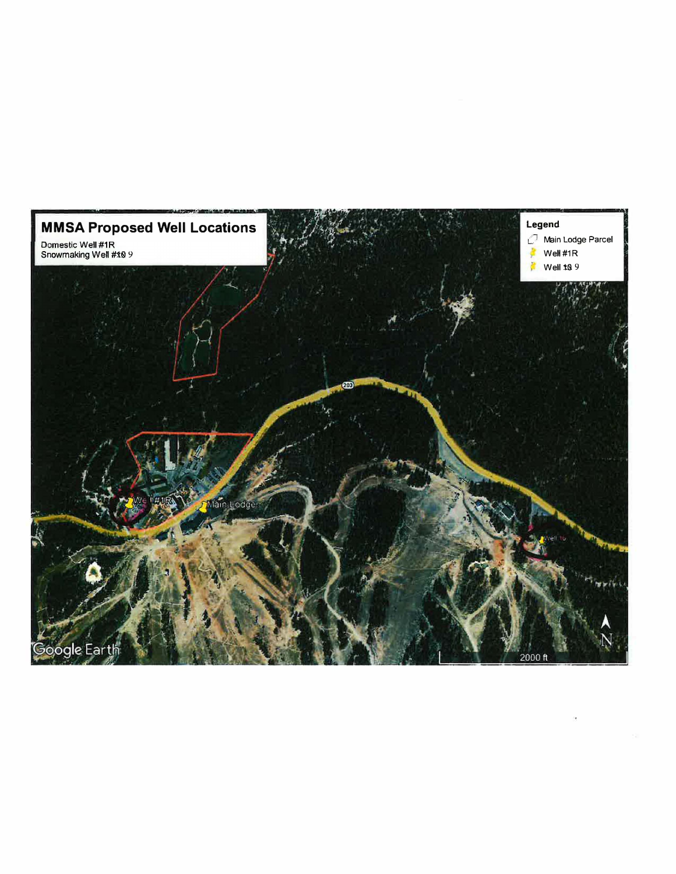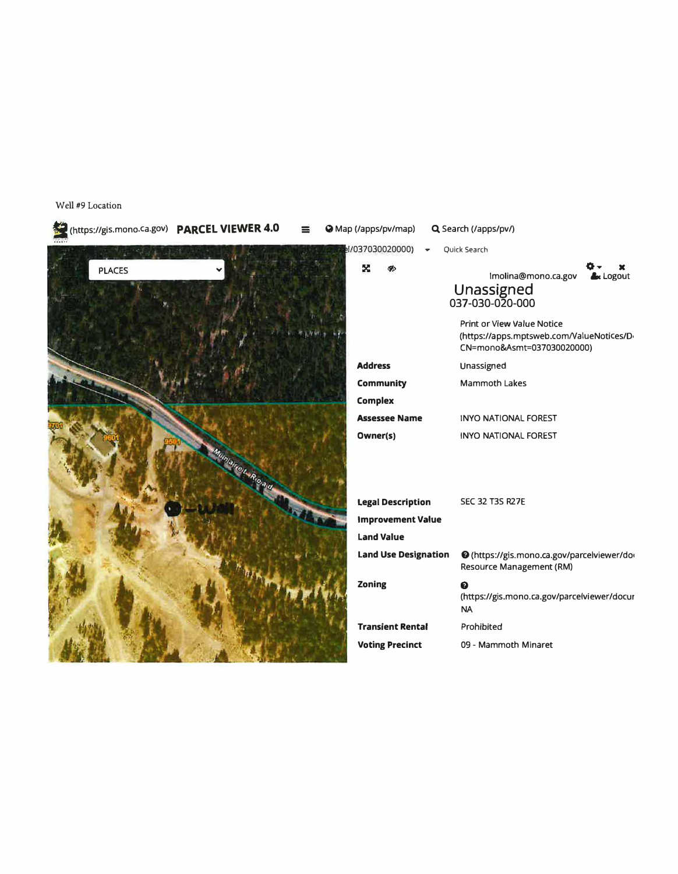## I (https://gis.mono.ca.gov) **PARCEL VIEWER 4.0** Q Map (/apps/pv/map) Q. Search (/apps/pv/)  $1/037030020000$ )  $\bullet$  Quick Search × **PLACES**  $\mathcal{G}$ **(h X 6cLogout**  lmolina@mono.ca.gov **Unassigned**  037-030-020-000 Print or **View** Value Notice (https://apps.mptsweb.com/ValueNotices/D-CN=mono&Asmt=037030020000) **Address**  Unassigned **Community**  Mammoth Lakes **Complex**  INYO NATIONAL FOREST **Assessee Name Owner(s)**  INYO NATIONAL FOREST **Legal Description**  SEC 32 T3S R27E **Improvement Value Land Value**  Land Use Designation <br> **G** (https://gis.mono.ca.gov/parcelviewer/do Resource Management (RM) **Zoning G**  (https:/ /gis.mono.ca.gov/parcefviewer /docur NA **Transient Rental**  Prohibited **Voting Precinct**  09 - Mammoth Minaret

Well #9 Location